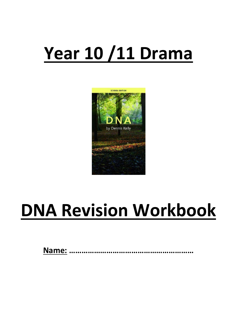# **Year 10 /11 Drama**



# **DNA Revision Workbook**

**Name: ……………………………………………………**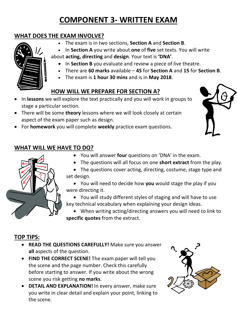# **COMPONENT 3- WRITTEN EXAM**

## **WHAT DOES THE EXAM INVOLVE?**

- The exam is in two sections, **Section A** and **Section B**.
- In **Section A** you write about **one** of **five** set texts. You will write

about **acting, directing** and **design**. Your text is **'DNA'**.

- In **Section B** you evaluate and review a piece of live theatre.
- There are **60 marks** available **45** for **Section A** and **15** for **Section B**.
- The exam is **1 hour 30 mins** and is in **May 2018**.

# **HOW WILL WE PREPARE FOR SECTION A?**

- In **lessons** we will explore the text practically and you will work in groups to stage a particular section.
- There will be some **theory** lessons where we will look closely at certain aspect of the exam paper such as design.
- For **homework** you will complete **weekly** practice exam questions.





- You will answer **four** questions on 'DNA' in the exam.
- The questions will all focus on one **short extract** from the play.

• The questions cover acting, directing, costume, stage type and set design.

• You will need to decide how **you** would stage the play if you were directing it.

• You will study different styles of staging and will have to use key technical vocabulary when explaining your design ideas.

• When writing acting/directing answers you will need to link to **specific quotes** from the extract.

## **TOP TIPS:**

- **READ THE QUESTIONS CAREFULLY!** Make sure you answer **all** aspects of the question.
- **FIND THE CORRECT SCENE!** The exam paper will tell you the scene and the page number. Check this carefully before starting to answer. If you write about the wrong scene you risk getting **no marks**.
- **DETAIL AND EXPLANATION!** In every answer, make sure you write in clear detail and explain your point, linking to the scene.





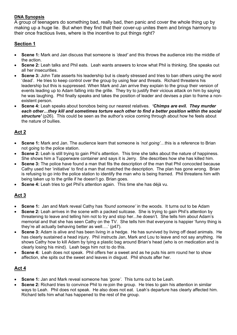#### **DNA Synopsis**

A group of teenagers do something bad, really bad, then panic and cover the whole thing up by making up a huge lie. But when they find that their cover-up unites them and brings harmony to their once fractious lives, where is the incentive to put things right?

## **Section 1**

- **Scene 1:** Mark and Jan discuss that someone is *'dead'* and this throws the audience into the middle of the action.
- **Scene 2:** Leah talks and Phil eats. Leah wants answers to know what Phil is thinking. She speaks out all her insecurities.
- **Scene 3:** John Tate asserts his leadership but is clearly stressed and tries to ban others using the word 'dead'. He tries to keep control over the group by using fear and threats. Richard threatens his leadership but this is suppressed. When Mark and Jan arrive they explain to the group their version of events leading up to Adam falling into the grille. They try to justify their vicious attack on him by saying he was laughing. Phil finally speaks and takes the position of leader and devises a plan to frame a nonexistent person.
- **Scene 4:** Leah speaks about bonobos being our nearest relatives. *'Chimps are evil. They murder each other…they kill and sometimes torture each other to find a better position within the social structure'* (p26). This could be seen as the author's voice coming through about how he feels about the nature of bullies.

## **Act 2**

- **Scene 1:** Mark and Jan. The audience learn that someone is *'not going'*…this is a reference to Brian not going to the police station.
- **Scene 2:** Leah is still trying to gain Phil's attention. This time she talks about the nature of happiness. She shows him a Tupperware container and says it is Jerry. She describes how she has killed him.
- **Scene 3:** The police have found a man that fits the description of the man that Phil concocted because Cathy used her 'initiative' to find a man that matched the description. The plan has gone wrong. Brian is refusing to go into the police station to identify the man who is being framed. Phil threatens him with being taken up to the grille if he doesn't go. Brian goes.
- **Scene 4:** Leah tries to get Phil's attention again. This time she has déjà vu.

## **Act 3**

- **Scene 1:** Jan and Mark reveal Cathy has *'found someone'* in the woods. It turns out to be Adam
- **Scene 2:** Leah arrives in the scene with a packed suitcase. She is trying to gain Phil's attention by threatening to leave and telling him not to try and stop her...he doesn't. She tells him about Adam's memorial and that she has seen Cathy on the TV. She tells him that everyone is happier 'funny thing is they're all actually behaving better as well….' (p47).
- **Scene 3:** Adam is alive and has been living in a hedge. He has survived by living off dead animals. He has clearly sustained a head injury. Phil instructs Jan, Mark and Lou to leave and not say anything. He shows Cathy how to kill Adam by tying a plastic bag around Brian's head (who is on medication and is clearly losing his mind). Leah begs him not to do this.
- **Scene 4:** Leah does not speak. Phil offers her a sweet and as he puts his arm round her to show affection, she spits out the sweet and leaves in disgust. Phil shouts after her.

## **Act 4**

- **Scene 1:** Jan and Mark reveal someone has *'gone'*. This turns out to be Leah.
- **Scene 2:** Richard tries to convince Phil to re-join the group. He tries to gain his attention in similar ways to Leah. Phil does not speak. He also does not eat. Leah's departure has clearly affected him. Richard tells him what has happened to the rest of the group.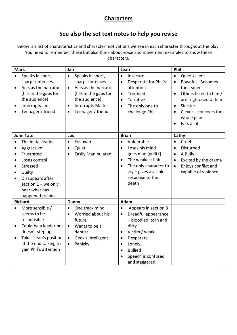## **Characters**

## **See also the set text notes to help you revise**

Below is a list of characteristics and character motivations we see in each character throughout the play. You need to remember these but also think about voice and movement examples to show these characters.

| <b>Mark</b>                                                                |                                                                                                                                                                        | Jan                                                           |                                                                                                            | Leah                                                                                    |                                                                                                                                                                               | Phil                                                          |                                                                                                     |
|----------------------------------------------------------------------------|------------------------------------------------------------------------------------------------------------------------------------------------------------------------|---------------------------------------------------------------|------------------------------------------------------------------------------------------------------------|-----------------------------------------------------------------------------------------|-------------------------------------------------------------------------------------------------------------------------------------------------------------------------------|---------------------------------------------------------------|-----------------------------------------------------------------------------------------------------|
| $\bullet$<br>$\bullet$                                                     | Speaks in short,<br>sharp sentences<br>Acts as the narrator<br>(fills in the gaps for                                                                                  | $\bullet$<br>$\bullet$                                        | Speaks in short,<br>sharp sentences<br>Acts as the narrator<br>(fills in the gaps for                      | $\bullet$<br>$\bullet$<br>$\bullet$                                                     | Insecure<br>Desperate for Phil's<br>attention<br>Troubled                                                                                                                     | $\bullet$<br>$\bullet$<br>$\bullet$                           | Quiet /silent<br>Poweful - Becomes<br>the leader<br>Others listen to him /                          |
| $\bullet$                                                                  | the audience)<br>Interrupts Jan<br>Teenager / friend                                                                                                                   | $\bullet$<br>$\bullet$                                        | the audience)<br><b>Interrupts Mark</b><br>Teenager / friend                                               | $\bullet$<br>$\bullet$                                                                  | Talkative<br>The only one to<br>challenge Phil                                                                                                                                | $\bullet$<br>$\bullet$                                        | are frightened of him<br>Sinister<br>Clever $-$ concocts the<br>whole plan<br>Eats a lot            |
|                                                                            | <b>John Tate</b>                                                                                                                                                       | Lou                                                           |                                                                                                            | <b>Brian</b>                                                                            |                                                                                                                                                                               | Cathy                                                         |                                                                                                     |
| $\bullet$<br>$\bullet$<br>$\bullet$<br>$\bullet$<br>$\bullet$<br>$\bullet$ | The initial leader<br>Aggressive<br>Frustrated<br>Loses control<br>Stressed<br>Guilty<br>Disappears after<br>section $1 -$ we only<br>hear what has<br>happened to him | $\bullet$                                                     | Follower<br>Quiet<br><b>Easily Manipulated</b>                                                             | $\bullet$<br>$\bullet$<br>$\bullet$<br>$\bullet$                                        | Vulnerable<br>Loses his mind -<br>goes mad (guilt?)<br>The weakest link<br>The only character to<br>$cry - gives a visible$<br>response to the<br>death                       | $\bullet$<br>$\bullet$<br>$\bullet$<br>$\bullet$<br>$\bullet$ | Cruel<br>Disturbed<br>A Bully<br>Excited by the drama<br>Enjoys conflict and<br>capable of violence |
|                                                                            | <b>Richard</b>                                                                                                                                                         | Danny                                                         |                                                                                                            | Adam                                                                                    |                                                                                                                                                                               |                                                               |                                                                                                     |
| $\bullet$<br>$\bullet$<br>$\bullet$                                        | More sensible /<br>seems to be<br>responsible<br>Could be a leader but<br>doesn't step up<br>Takes Leah's position<br>at the end talking to<br>gain Phil's attention   | $\bullet$<br>$\bullet$<br>$\bullet$<br>$\bullet$<br>$\bullet$ | One track mind<br>Worried about his<br>future<br>Wants to be a<br>dentist<br>Geek / intelligent<br>Panicky | $\bullet$<br>$\bullet$<br>$\bullet$<br>$\bullet$<br>$\bullet$<br>$\bullet$<br>$\bullet$ | Appears in section 3<br>Dreadful appearance<br>- bloodied, torn and<br>dirty<br>Victim / weak<br>Desperate<br>Lonely<br><b>Bullied</b><br>Speech is confused<br>and staggered |                                                               |                                                                                                     |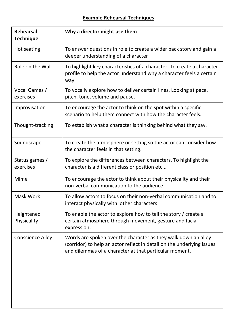## **Example Rehearsal Techniques**

| <b>Rehearsal</b><br><b>Technique</b> | Why a director might use them                                                                                                                                                                      |  |
|--------------------------------------|----------------------------------------------------------------------------------------------------------------------------------------------------------------------------------------------------|--|
| Hot seating                          | To answer questions in role to create a wider back story and gain a<br>deeper understanding of a character                                                                                         |  |
| Role on the Wall                     | To highlight key characteristics of a character. To create a character<br>profile to help the actor understand why a character feels a certain<br>way.                                             |  |
| Vocal Games /<br>exercises           | To vocally explore how to deliver certain lines. Looking at pace,<br>pitch, tone, volume and pause.                                                                                                |  |
| Improvisation                        | To encourage the actor to think on the spot within a specific<br>scenario to help them connect with how the character feels.                                                                       |  |
| Thought-tracking                     | To establish what a character is thinking behind what they say.                                                                                                                                    |  |
| Soundscape                           | To create the atmosphere or setting so the actor can consider how<br>the character feels in that setting.                                                                                          |  |
| Status games /<br>exercises          | To explore the differences between characters. To highlight the<br>character is a different class or position etc                                                                                  |  |
| Mime                                 | To encourage the actor to think about their physicality and their<br>non-verbal communication to the audience.                                                                                     |  |
| Mask Work                            | To allow actors to focus on their non-verbal communication and to<br>interact physically with other characters                                                                                     |  |
| Heightened<br>Physicality            | To enable the actor to explore how to tell the story / create a<br>certain atmosphere through movement, gesture and facial<br>expression.                                                          |  |
| <b>Conscience Alley</b>              | Words are spoken over the character as they walk down an alley<br>(corridor) to help an actor reflect in detail on the underlying issues<br>and dilemmas of a character at that particular moment. |  |
|                                      |                                                                                                                                                                                                    |  |
|                                      |                                                                                                                                                                                                    |  |
|                                      |                                                                                                                                                                                                    |  |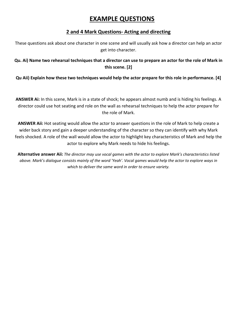## **EXAMPLE QUESTIONS**

## **2 and 4 Mark Questions- Acting and directing**

These questions ask about one character in one scene and will usually ask how a director can help an actor get into character.

## **Qu. Ai) Name two rehearsal techniques that a director can use to prepare an actor for the role of Mark in this scene. [2]**

## **Qu Aii) Explain how these two techniques would help the actor prepare for this role in performance. [4]**

**ANSWER Ai:** In this scene, Mark is in a state of shock; he appears almost numb and is hiding his feelings. A director could use hot seating and role on the wall as rehearsal techniques to help the actor prepare for the role of Mark.

**ANSWER Aii:** Hot seating would allow the actor to answer questions in the role of Mark to help create a wider back story and gain a deeper understanding of the character so they can identify with why Mark feels shocked. A role of the wall would allow the actor to highlight key characteristics of Mark and help the actor to explore why Mark needs to hide his feelings.

**Alternative answer Aii:** *The director may use vocal games with the actor to explore Mark's characteristics listed above. Mark's dialogue consists mainly of the word 'Yeah'. Vocal games would help the actor to explore ways in which to deliver the same word in order to ensure variety.*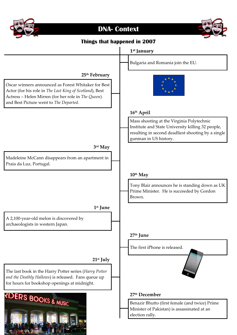

# **DNA- Context**

![](_page_6_Picture_2.jpeg)

## **Things that happened in 2007**

![](_page_6_Figure_4.jpeg)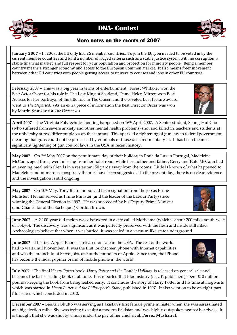![](_page_7_Picture_0.jpeg)

## **DNA- Context**

## **More notes on the events of 2007**

**January 2007** – In 2007, the EU only had 25 member countries. To join the EU, you needed to be voted in by the current member countries and fulfil a number of ridged criteria such as a stable justice system with no corruption, a stable financial market, and full respect for your population and protection for minority people. Being a member country means a stronger economy and access to the European Common Market. It also means freer movement between other EU countries with people getting access to university courses and jobs in other EU countries.

**February 2007** – This was a big year in terms of entertainment. Forest Whitaker won the Best Actor Oscar for his role in The Last King of Scotland, Dame Helen Mirren won Best Actress for her portrayal of the title role in The Queen and the coveted Best Picture award went to *The Departed*. (As an extra piece of information the Best Director Oscar was won by Martin Scorsese for *The Departed*.)

**April 2007** – The Virginia Polytechnic shooting happened on 16th April 2007. A Senior student, Seung-Hui Cho (who suffered from severe anxiety and other mental health problems) shot and killed 32 teachers and students at the university at two different places on the campus. This sparked a tightening of gun law in federal government, meaning that guns could not be purchased by criminals or those declared mentally ill. It has been the most significant tightening of gun control laws in the USA in recent history.

**May 2007** – On 3rd May 2007 on the penultimate day of their holiday in Praia da Luz in Portugal, Madeleine McCann, aged three, went missing from her hotel room while her mother and father, Gerry and Kate McCann had an evening meal with friends in a restaurant 50 yards away from the rooms. Little is known of what happened to Madeleine and numerous conspiracy theories have been suggested. To the present day, there is no clear evidence and the investigation is still ongoing.

May 2007 – On 10<sup>th</sup> May, Tony Blair announced his resignation from the job as Prime Minister. He had served as Prime Minister (and the leader of the Labour Party) since winning the General Election in 1997. He was succeeded by his Deputy Prime Minister (and Chancellor of the Exchequer) Gordon Brown.

**June 2007** – A 2,100-year-old melon was discovered in a city called Moriyama (which is about 200 miles south-west of Tokyo). The discovery was significant as it was perfectly preserved with the flesh and inside still intact. Archaeologists believe that when it was buried, it was sealed in a vacuum-like state underground.

**June 2007** – The first Apple iPhone is released on sale in the USA. The rest of the world had to wait until November. It was the first touchscreen phone with Internet capabilities and was the brainchild of Steve Jobs, one of the founders of Apple. Since then, the iPhone has become the most popular brand of mobile phone in the world.

**July 2007** – The final Harry Potter book, *Harry Potter and the Deathly Hallows*, is released on general sale and becomes the fastest selling book of all time. It is reported that Bloomsbury (its UK publishers) spent £10 million pounds keeping the book from being leaked early. It concludes the story of Harry Potter and his time at Hogwarts which was started in *Harry Potter and the Philosopher's Stone*, published in 1997. It also went on to be an eight-part film series which concluded in 2010.

**December 2007** – Benazir Bhutto was serving as Pakistan's first female prime minister when she was assassinated at a big election rally. She was trying to sculpt a modern Pakistan and was highly outspoken against her rivals. It is thought that she was shot by a man under the pay of her chief rival, **[Pervez Musharraf.](https://en.wikipedia.org/wiki/Pervez_Musharraf)**

![](_page_7_Picture_12.jpeg)

![](_page_7_Picture_13.jpeg)

![](_page_7_Picture_14.jpeg)

![](_page_7_Picture_15.jpeg)

![](_page_7_Picture_16.jpeg)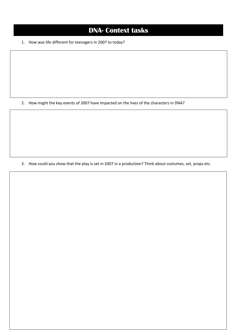# **DNA- Context tasks**

1. How was life different for teenagers in 2007 to today?

2. How might the key events of 2007 have impacted on the lives of the characters in DNA?

3. How could you show that the play is set in 2007 in a production? Think about costumes, set, props etc.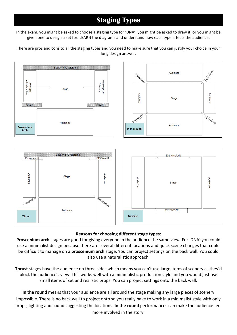# **Staging Types**

In the exam, you might be asked to choose a staging type for 'DNA', you might be asked to draw it, or you might be given one to design a set for. LEARN the diagrams and understand how each type affects the audience.

There are pros and cons to all the staging types and you need to make sure that you can justify your choice in your long design answer.

![](_page_9_Figure_3.jpeg)

### **Reasons for choosing different stage types:**

**Proscenium arch** stages are good for giving everyone in the audience the same view. For 'DNA' you could use a minimalist design because there are several different locations and quick scene changes that could be difficult to manage on a **proscenium arch** stage. You can project settings on the back wall. You could also use a naturalistic approach.

**Thrust** stages have the audience on three sides which means you can't use large items of scenery as they'd block the audience's view. This works well with a minimalistic production style and you would just use small items of set and realistic props. You can project settings onto the back wall.

**In the round** means that your audience are all around the stage making any large pieces of scenery impossible. There is no back wall to project onto so you really have to work in a minimalist style with only props, lighting and sound suggesting the locations. **In the round** performances can make the audience feel more involved in the story.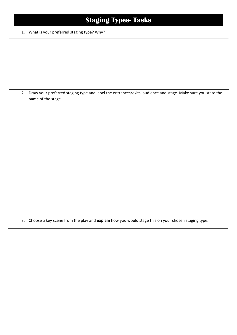# **Staging Types- Tasks**

1. What is your preferred staging type? Why?

2. Draw your preferred staging type and label the entrances/exits, audience and stage. Make sure you state the name of the stage.

3. Choose a key scene from the play and **explain** how you would stage this on your chosen staging type.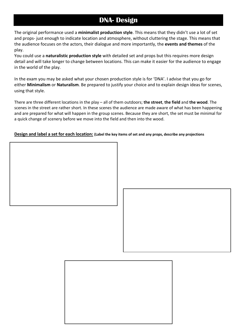## **DNA- Design**

The original performance used a **minimalist production style**. This means that they didn't use a lot of set and props- just enough to indicate location and atmosphere, without cluttering the stage. This means that the audience focuses on the actors, their dialogue and more importantly, the **events and themes** of the play.

You could use a **naturalistic production style** with detailed set and props but this requires more design detail and will take longer to change between locations. This can make it easier for the audience to engage in the world of the play.

In the exam you may be asked what your chosen production style is for 'DNA'. I advise that you go for either **Minimalism** or **Naturalism**. Be prepared to justify your choice and to explain design ideas for scenes, using that style.

There are three different locations in the play – all of them outdoors; **the street**, **the field** and **the wood**. The scenes in the street are rather short. In these scenes the audience are made aware of what has been happening and are prepared for what will happen in the group scenes. Because they are short, the set must be minimal for a quick change of scenery before we move into the field and then into the wood.

#### **Design and label a set for each location: (Label the key items of set and any props, describe any projections**

![](_page_11_Picture_6.jpeg)

![](_page_11_Picture_7.jpeg)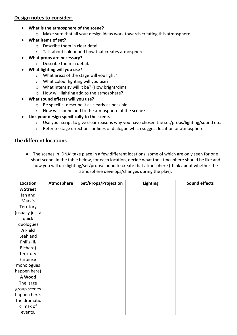### **Design notes to consider:**

- **What is the atmosphere of the scene?**
	- o Make sure that all your design ideas work towards creating this atmosphere.
- **What items of set?**
	- o Describe them in clear detail.
	- o Talk about colour and how that creates atmosphere.
- **What props are necessary?**
	- o Describe them in detail.
- **What lighting will you use?**
	- o What areas of the stage will you light?
	- o What colour lighting will you use?
	- o What intensity will it be? (How bright/dim)
	- o How will lighting add to the atmosphere?
- **What sound effects will you use?**
	- o Be specific- describe it as clearly as possible.
	- o How will sound add to the atmosphere of the scene?
- **Link your design specifically to the scene.**
	- o Use your script to give clear reasons why you have chosen the set/props/lighting/sound etc.
	- o Refer to stage directions or lines of dialogue which suggest location or atmosphere.

### **The different locations**

• The scenes in 'DNA' take place in a few different locations, some of which are only seen for one short scene. In the table below, for each location, decide what the atmosphere should be like and how you will use lighting/set/props/sound to create that atmosphere (think about whether the atmosphere develops/changes during the play).

| Location        | Atmosphere | Set/Props/Projection | <b>Lighting</b> | <b>Sound effects</b> |
|-----------------|------------|----------------------|-----------------|----------------------|
| A Street        |            |                      |                 |                      |
| Jan and         |            |                      |                 |                      |
| Mark's          |            |                      |                 |                      |
| Territory       |            |                      |                 |                      |
| (usually just a |            |                      |                 |                      |
| quick           |            |                      |                 |                      |
| duologue)       |            |                      |                 |                      |
| A Field         |            |                      |                 |                      |
| Leah and        |            |                      |                 |                      |
| Phil's (&       |            |                      |                 |                      |
| Richard)        |            |                      |                 |                      |
| territory       |            |                      |                 |                      |
| (Intense        |            |                      |                 |                      |
| monologues      |            |                      |                 |                      |
| happen here)    |            |                      |                 |                      |
| A Wood          |            |                      |                 |                      |
| The large       |            |                      |                 |                      |
| group scenes    |            |                      |                 |                      |
| happen here.    |            |                      |                 |                      |
| The dramatic    |            |                      |                 |                      |
| climax of       |            |                      |                 |                      |
| events.         |            |                      |                 |                      |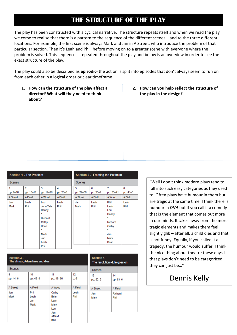# **THE STRUCTURE OF THE PLAY**

The play has been constructed with a cyclical narrative. The structure repeats itself and when we read the play we come to realise that there is a pattern to the sequence of the different scenes – and to the three different locations. For example, the first scene is always Mark and Jan in A Street, who introduce the problem of that particular section. Then it's Leah and Phil, before moving on to a greater scene with everyone where the problem is solved. This sequence is repeated throughout the play and below is an overview in order to see the exact structure of the play.

The play could also be described as **episodic**- the action is split into episodes that don't always seem to run on from each other in a logical order or clear timeframe.

- **1. How can the structure of the play affect a director? What will they need to think about?**
- **2. How can you help reflect the structure of the play in the design?**

| <b>Section 1 - The Problem</b> |                                        |                                                                                                 |                          | Section 2 - Framing the Postman |                          |                                                                                                 |                          |  |
|--------------------------------|----------------------------------------|-------------------------------------------------------------------------------------------------|--------------------------|---------------------------------|--------------------------|-------------------------------------------------------------------------------------------------|--------------------------|--|
| <b>Scenes</b>                  |                                        |                                                                                                 |                          | <b>Scenes</b>                   |                          |                                                                                                 |                          |  |
| 1<br>pp. 9-10<br>A Street      | $\overline{2}$<br>pp. 10-12<br>A Field | 3<br>pp. 12-26<br>A Wood                                                                        | 4<br>pp. 26-8<br>A Field | 5<br>pp. 29-30<br>A Street      | 6<br>pp. 30-2<br>A Field | 7<br>pp. 33-41<br>A Wood                                                                        | 8<br>pp. 41-3<br>A Field |  |
| Jan<br>Mark                    | Leah<br>Phil                           | Lou<br>John Tate<br>Danny<br>۰<br>Richard<br>Cathy<br>Brian<br>×<br>Mark<br>Jan<br>Leah<br>Phil | Leah<br>Phil             | Jan<br>Mark                     | Leah<br>Phil             | Phil<br>Leah<br>Lou<br>Danny<br>$\star$<br>Richard<br>Cathy<br>÷<br>Jan<br>Mark<br><b>Brian</b> | Leah<br>Phil             |  |

| Section 3 -<br>The climax; Adam lives and dies |                             |                                                                     |              |  |  |
|------------------------------------------------|-----------------------------|---------------------------------------------------------------------|--------------|--|--|
| <b>Scenes</b>                                  |                             |                                                                     |              |  |  |
| 9<br>pp. 44-6                                  | 10<br>pp. 46-8              | 11<br>pp. 48-60                                                     | 12<br>p. 61  |  |  |
| A Street                                       | A Field                     | A Wood                                                              | A Field      |  |  |
| Jan<br>Mark                                    | Phil<br>Leah<br>Jan<br>Mark | Cathy<br>Brian<br>Leah<br>Mark<br>Lou<br>Jan<br><b>ADAM</b><br>Phil | Leah<br>Phil |  |  |

| <b>Section 4</b><br>The resolution -Life goes on |                |  |  |  |
|--------------------------------------------------|----------------|--|--|--|
| <b>Scenes</b>                                    |                |  |  |  |
| 13<br>pp. 62-3                                   | 14<br>pp. 63-6 |  |  |  |
| A Street                                         | A Field        |  |  |  |
| Jan                                              | Richard        |  |  |  |
| Mark                                             | Phil           |  |  |  |
|                                                  |                |  |  |  |
|                                                  |                |  |  |  |

"Well I don't think modern plays tend to fall into such easy categories as they used to. Often plays have humour in them but are tragic at the same time. I think there is humour in *DNA* but if you call it a comedy that is the element that comes out more in our minds. It takes away from the more tragic elements and makes them feel slightly glib – after all, a child dies and that is not funny. Equally, if you called it a tragedy, the humour would suffer. I think the nice thing about theatre these days is that plays don't need to be categorized, they can just be…"

# Dennis Kelly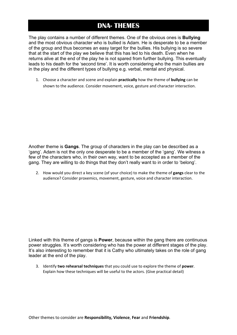## **DNA- THEMES**

The play contains a number of different themes. One of the obvious ones is **Bullying**  and the most obvious character who is bullied is Adam. He is desperate to be a member of the group and thus becomes an easy target for the bullies. His bullying is so severe that at the start of the play we believe that this has led to his death. Even when he returns alive at the end of the play he is not spared from further bullying. This eventually leads to his death for the 'second time'. It is worth considering who the main bullies are in the play and the different types of bullying e.g. verbal, mental and physical.

1. Choose a character and scene and explain **practically** how the theme of **bullying** can be shown to the audience. Consider movement, voice, gesture and character interaction.

Another theme is **Gangs**. The group of characters in the play can be described as a 'gang'. Adam is not the only one desperate to be a member of the 'gang'. We witness a few of the characters who, in their own way, want to be accepted as a member of the gang. They are willing to do things that they don't really want to in order to 'belong'.

2. How would you direct a key scene (of your choice) to make the theme of **gangs** clear to the audience? Consider proxemics, movement, gesture, voice and character interaction.

Linked with this theme of gangs is **Power**, because within the gang there are continuous power struggles. It's worth considering who has the power at different stages of the play. It's also interesting to remember that it is Cathy who ultimately takes on the role of gang leader at the end of the play.

3. Identify **two rehearsal techniques** that you could use to explore the theme of **power**. Explain how these techniques will be useful to the actors. (Give practical detail)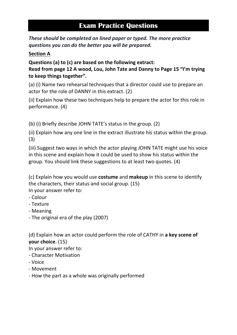# **Exam Practice Questions**

*These should be completed on lined paper or typed. The more practice questions you can do the better you will be prepared.* 

## **Section A**

**Questions (a) to (c) are based on the following extract:**

**Read from page 12 A wood, Lou, John Tate and Danny to Page 15 "I'm trying to keep things together".**

(a) (i) Name two rehearsal techniques that a director could use to prepare an actor for the role of DANNY in this extract. (2)

(ii) Explain how these two techniques help to prepare the actor for this role in performance. (4)

(b) (i) Briefly describe JOHN TATE's status in the group. (2)

(ii) Explain how any one line in the extract illustrate his status within the group. (3)

(iii) Suggest two ways in which the actor playing JOHN TATE might use his voice in this scene and explain how it could be used to show his status within the group. You should link these suggestions to at least two quotes. (4)

(c) Explain how you would use **costume** and **makeup** in this scene to identify the characters, their status and social group. (15) In your answer refer to:

- Colour
- Texture
- Meaning
- The original era of the play (2007)

(d) Explain how an actor could perform the role of CATHY in **a key scene of your choice**. (15)

In your answer refer to:

- Character Motivation
- Voice
- Movement
- How the part as a whole was originally performed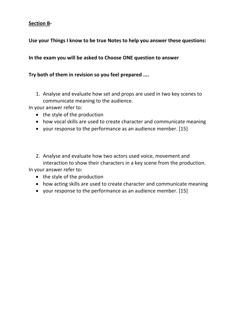## **Section B-**

## **Use your Things I know to be true Notes to help you answer these questions:**

## **In the exam you will be asked to Choose ONE question to answer**

## **Try both of them in revision so you feel prepared ....**

1. Analyse and evaluate how set and props are used in two key scenes to communicate meaning to the audience.

In your answer refer to:

- the style of the production
- how vocal skills are used to create character and communicate meaning
- your response to the performance as an audience member. [15]
- 2. Analyse and evaluate how two actors used voice, movement and interaction to show their characters in a key scene from the production. In your answer refer to:
	- the style of the production
	- how acting skills are used to create character and communicate meaning
	- your response to the performance as an audience member. [15]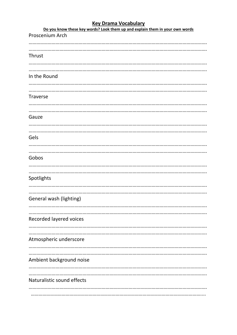## **Key Drama Vocabulary**

| Do you know these key words? Look them up and explain them in your own words |
|------------------------------------------------------------------------------|
| Proscenium Arch                                                              |
|                                                                              |
|                                                                              |
|                                                                              |
| Thrust                                                                       |
|                                                                              |
|                                                                              |
| In the Round                                                                 |
|                                                                              |
|                                                                              |
|                                                                              |
| <b>Traverse</b>                                                              |
|                                                                              |
|                                                                              |
| Gauze                                                                        |
|                                                                              |
|                                                                              |
|                                                                              |
| Gels                                                                         |
|                                                                              |
|                                                                              |
|                                                                              |
| Gobos                                                                        |
|                                                                              |
|                                                                              |
| Spotlights                                                                   |
|                                                                              |
|                                                                              |
|                                                                              |
| General wash (lighting)                                                      |
|                                                                              |
|                                                                              |
| Recorded layered voices                                                      |
|                                                                              |
|                                                                              |
|                                                                              |
| Atmospheric underscore                                                       |
|                                                                              |
|                                                                              |
|                                                                              |
| Ambient background noise                                                     |
|                                                                              |
|                                                                              |
| Naturalistic sound effects                                                   |
|                                                                              |
|                                                                              |
|                                                                              |